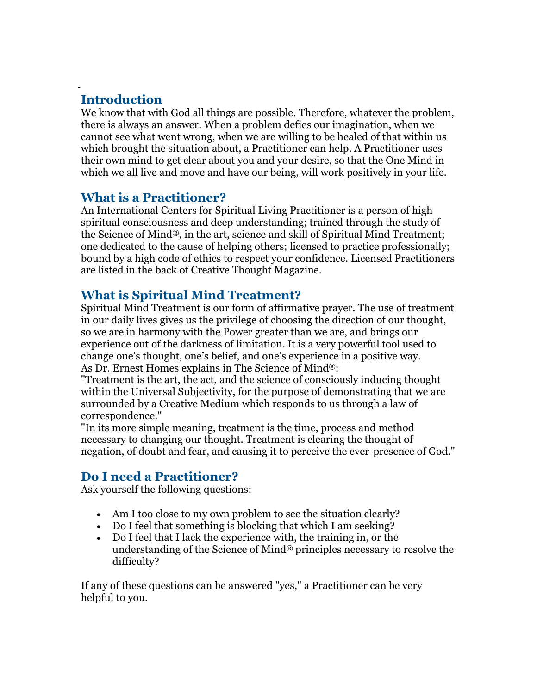# **Introduction**

We know that with God all things are possible. Therefore, whatever the problem, there is always an answer. When a problem defies our imagination, when we cannot see what went wrong, when we are willing to be healed of that within us which brought the situation about, a Practitioner can help. A Practitioner uses their own mind to get clear about you and your desire, so that the One Mind in which we all live and move and have our being, will work positively in your life.

### **What is a Practitioner?**

An International Centers for Spiritual Living Practitioner is a person of high spiritual consciousness and deep understanding; trained through the study of the Science of Mind®, in the art, science and skill of Spiritual Mind Treatment; one dedicated to the cause of helping others; licensed to practice professionally; bound by a high code of ethics to respect your confidence. Licensed Practitioners are listed in the back of Creative Thought Magazine.

## **What is Spiritual Mind Treatment?**

Spiritual Mind Treatment is our form of affirmative prayer. The use of treatment in our daily lives gives us the privilege of choosing the direction of our thought, so we are in harmony with the Power greater than we are, and brings our experience out of the darkness of limitation. It is a very powerful tool used to change one's thought, one's belief, and one's experience in a positive way. As Dr. Ernest Homes explains in The Science of Mind®:

"Treatment is the art, the act, and the science of consciously inducing thought within the Universal Subjectivity, for the purpose of demonstrating that we are surrounded by a Creative Medium which responds to us through a law of correspondence."

"In its more simple meaning, treatment is the time, process and method necessary to changing our thought. Treatment is clearing the thought of negation, of doubt and fear, and causing it to perceive the ever-presence of God."

## **Do I need a Practitioner?**

Ask yourself the following questions:

- Am I too close to my own problem to see the situation clearly?
- Do I feel that something is blocking that which I am seeking?
- Do I feel that I lack the experience with, the training in, or the understanding of the Science of Mind® principles necessary to resolve the difficulty?

If any of these questions can be answered "yes," a Practitioner can be very helpful to you.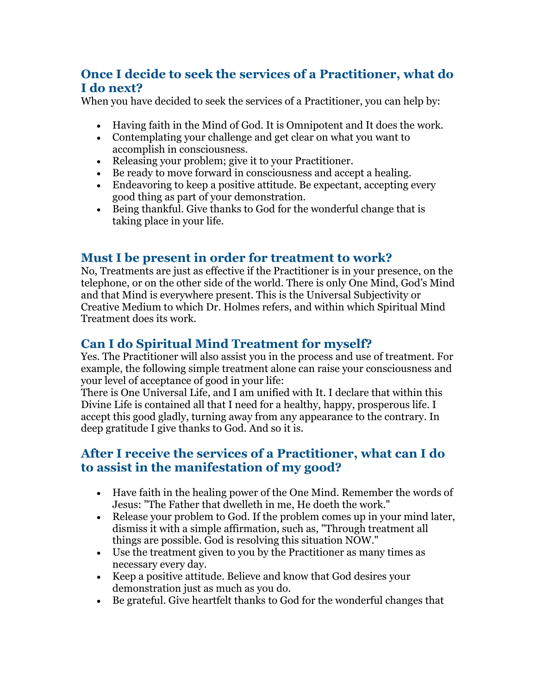## **Once I decide to seek the services of a Practitioner, what do I do next?**

When you have decided to seek the services of a Practitioner, you can help by:

- Having faith in the Mind of God. It is Omnipotent and It does the work.
- Contemplating your challenge and get clear on what you want to accomplish in consciousness.
- Releasing your problem; give it to your Practitioner.
- Be ready to move forward in consciousness and accept a healing.
- Endeavoring to keep a positive attitude. Be expectant, accepting every good thing as part of your demonstration.
- Being thankful. Give thanks to God for the wonderful change that is taking place in your life.

### **Must I be present in order for treatment to work?**

No, Treatments are just as effective if the Practitioner is in your presence, on the telephone, or on the other side of the world. There is only One Mind, God's Mind and that Mind is everywhere present. This is the Universal Subjectivity or Creative Medium to which Dr. Holmes refers, and within which Spiritual Mind Treatment does its work.

### **Can I do Spiritual Mind Treatment for myself?**

Yes. The Practitioner will also assist you in the process and use of treatment. For example, the following simple treatment alone can raise your consciousness and your level of acceptance of good in your life:

There is One Universal Life, and I am unified with It. I declare that within this Divine Life is contained all that I need for a healthy, happy, prosperous life. I accept this good gladly, turning away from any appearance to the contrary. In deep gratitude I give thanks to God. And so it is.

### **After I receive the services of a Practitioner, what can I do to assist in the manifestation of my good?**

- Have faith in the healing power of the One Mind. Remember the words of Jesus: "The Father that dwelleth in me, He doeth the work."
- Release your problem to God. If the problem comes up in your mind later, dismiss it with a simple affirmation, such as, "Through treatment all things are possible. God is resolving this situation NOW."
- Use the treatment given to you by the Practitioner as many times as necessary every day.
- Keep a positive attitude. Believe and know that God desires your demonstration just as much as you do.
- Be grateful. Give heartfelt thanks to God for the wonderful changes that